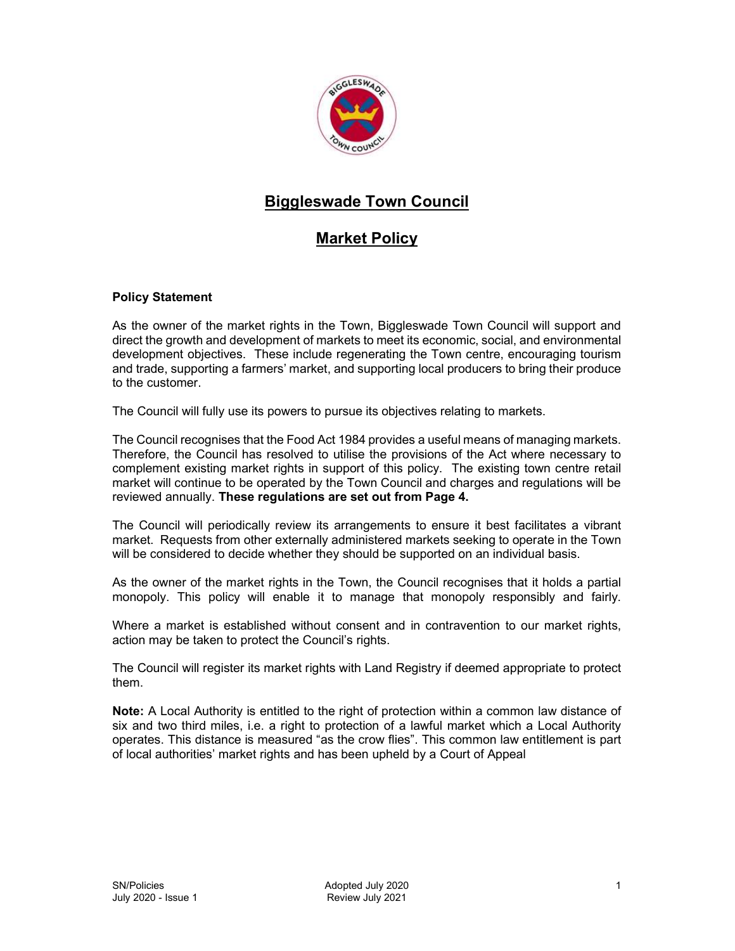

## Biggleswade Town Council

## Market Policy

## Policy Statement

As the owner of the market rights in the Town, Biggleswade Town Council will support and direct the growth and development of markets to meet its economic, social, and environmental development objectives. These include regenerating the Town centre, encouraging tourism and trade, supporting a farmers' market, and supporting local producers to bring their produce to the customer.

The Council will fully use its powers to pursue its objectives relating to markets.

The Council recognises that the Food Act 1984 provides a useful means of managing markets. Therefore, the Council has resolved to utilise the provisions of the Act where necessary to complement existing market rights in support of this policy. The existing town centre retail market will continue to be operated by the Town Council and charges and regulations will be reviewed annually. These regulations are set out from Page 4.

The Council will periodically review its arrangements to ensure it best facilitates a vibrant market. Requests from other externally administered markets seeking to operate in the Town will be considered to decide whether they should be supported on an individual basis.

As the owner of the market rights in the Town, the Council recognises that it holds a partial monopoly. This policy will enable it to manage that monopoly responsibly and fairly.

Where a market is established without consent and in contravention to our market rights, action may be taken to protect the Council's rights.

The Council will register its market rights with Land Registry if deemed appropriate to protect them.

Note: A Local Authority is entitled to the right of protection within a common law distance of six and two third miles, i.e. a right to protection of a lawful market which a Local Authority operates. This distance is measured "as the crow flies". This common law entitlement is part of local authorities' market rights and has been upheld by a Court of Appeal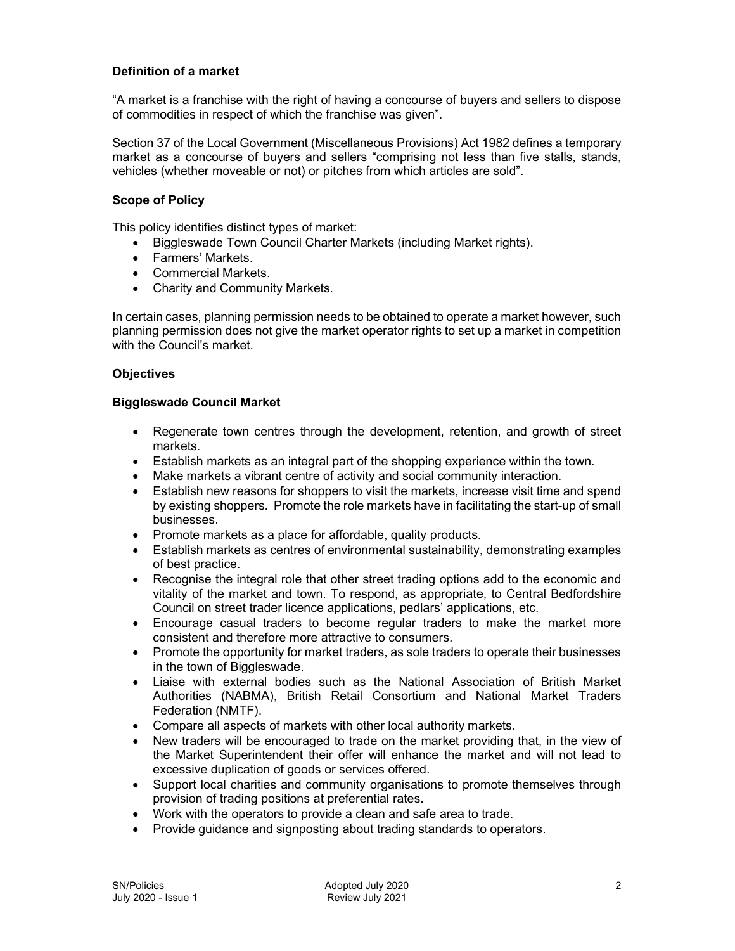## Definition of a market

"A market is a franchise with the right of having a concourse of buyers and sellers to dispose of commodities in respect of which the franchise was given".

Section 37 of the Local Government (Miscellaneous Provisions) Act 1982 defines a temporary market as a concourse of buyers and sellers "comprising not less than five stalls, stands, vehicles (whether moveable or not) or pitches from which articles are sold".

#### Scope of Policy

This policy identifies distinct types of market:

- Biggleswade Town Council Charter Markets (including Market rights).
- Farmers' Markets.
- Commercial Markets.
- Charity and Community Markets.

In certain cases, planning permission needs to be obtained to operate a market however, such planning permission does not give the market operator rights to set up a market in competition with the Council's market.

#### **Objectives**

#### Biggleswade Council Market

- Regenerate town centres through the development, retention, and growth of street markets.
- Establish markets as an integral part of the shopping experience within the town.
- Make markets a vibrant centre of activity and social community interaction.
- Establish new reasons for shoppers to visit the markets, increase visit time and spend by existing shoppers. Promote the role markets have in facilitating the start-up of small businesses.
- Promote markets as a place for affordable, quality products.
- Establish markets as centres of environmental sustainability, demonstrating examples of best practice.
- Recognise the integral role that other street trading options add to the economic and vitality of the market and town. To respond, as appropriate, to Central Bedfordshire Council on street trader licence applications, pedlars' applications, etc.
- Encourage casual traders to become regular traders to make the market more consistent and therefore more attractive to consumers.
- Promote the opportunity for market traders, as sole traders to operate their businesses in the town of Biggleswade.
- Liaise with external bodies such as the National Association of British Market Authorities (NABMA), British Retail Consortium and National Market Traders Federation (NMTF).
- Compare all aspects of markets with other local authority markets.
- New traders will be encouraged to trade on the market providing that, in the view of the Market Superintendent their offer will enhance the market and will not lead to excessive duplication of goods or services offered.
- Support local charities and community organisations to promote themselves through provision of trading positions at preferential rates.
- Work with the operators to provide a clean and safe area to trade.
- Provide guidance and signposting about trading standards to operators.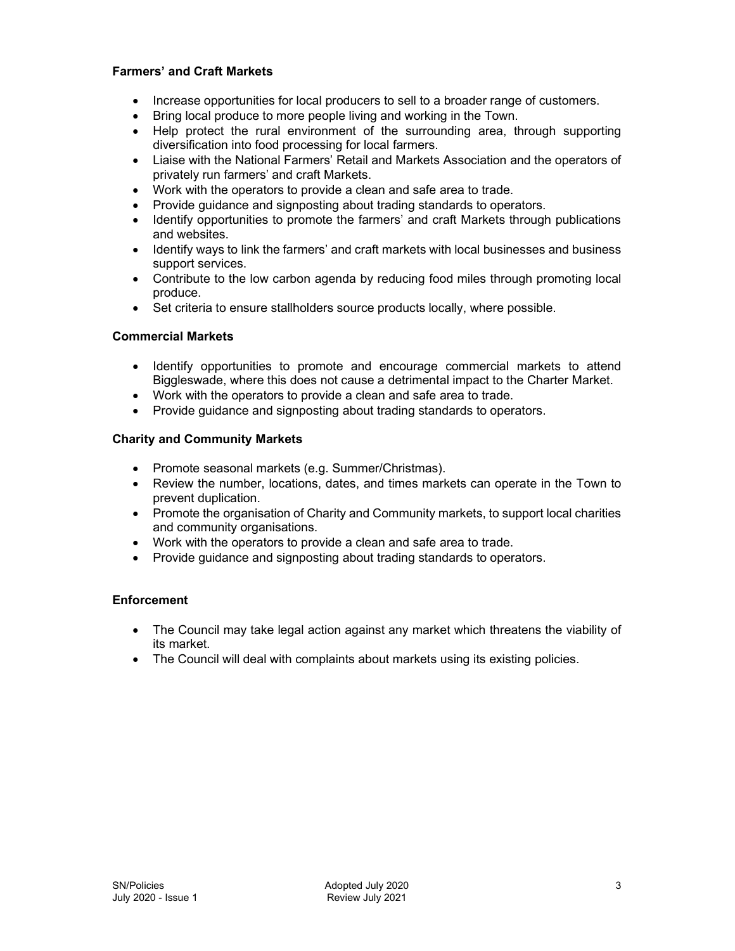#### Farmers' and Craft Markets

- Increase opportunities for local producers to sell to a broader range of customers.
- Bring local produce to more people living and working in the Town.
- Help protect the rural environment of the surrounding area, through supporting diversification into food processing for local farmers.
- Liaise with the National Farmers' Retail and Markets Association and the operators of privately run farmers' and craft Markets.
- Work with the operators to provide a clean and safe area to trade.
- Provide guidance and signposting about trading standards to operators.
- Identify opportunities to promote the farmers' and craft Markets through publications and websites.
- Identify ways to link the farmers' and craft markets with local businesses and business support services.
- Contribute to the low carbon agenda by reducing food miles through promoting local produce.
- Set criteria to ensure stallholders source products locally, where possible.

#### Commercial Markets

- Identify opportunities to promote and encourage commercial markets to attend Biggleswade, where this does not cause a detrimental impact to the Charter Market.
- Work with the operators to provide a clean and safe area to trade.
- Provide guidance and signposting about trading standards to operators.

#### Charity and Community Markets

- Promote seasonal markets (e.g. Summer/Christmas).
- Review the number, locations, dates, and times markets can operate in the Town to prevent duplication.
- Promote the organisation of Charity and Community markets, to support local charities and community organisations.
- Work with the operators to provide a clean and safe area to trade.
- Provide guidance and signposting about trading standards to operators.

#### **Enforcement**

- The Council may take legal action against any market which threatens the viability of its market.
- The Council will deal with complaints about markets using its existing policies.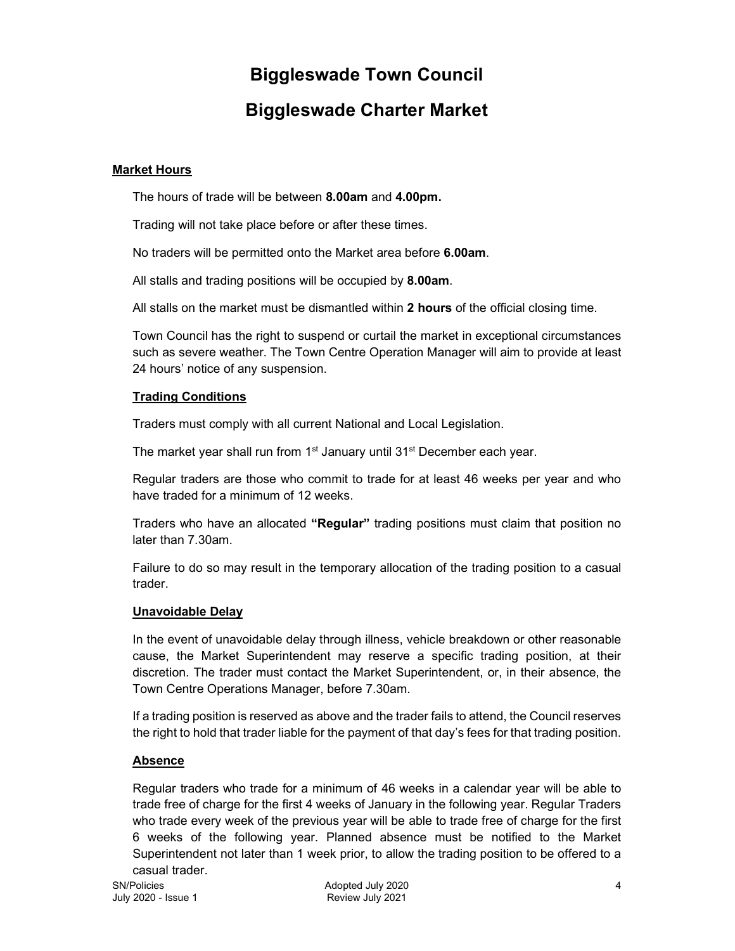# Biggleswade Town Council

## Biggleswade Charter Market

#### Market Hours

The hours of trade will be between 8.00am and 4.00pm.

Trading will not take place before or after these times.

No traders will be permitted onto the Market area before 6.00am.

All stalls and trading positions will be occupied by 8.00am.

All stalls on the market must be dismantled within 2 hours of the official closing time.

Town Council has the right to suspend or curtail the market in exceptional circumstances such as severe weather. The Town Centre Operation Manager will aim to provide at least 24 hours' notice of any suspension.

#### Trading Conditions

Traders must comply with all current National and Local Legislation.

The market year shall run from 1<sup>st</sup> January until 31<sup>st</sup> December each year.

Regular traders are those who commit to trade for at least 46 weeks per year and who have traded for a minimum of 12 weeks.

Traders who have an allocated "Regular" trading positions must claim that position no later than 7.30am.

Failure to do so may result in the temporary allocation of the trading position to a casual trader.

#### Unavoidable Delay

In the event of unavoidable delay through illness, vehicle breakdown or other reasonable cause, the Market Superintendent may reserve a specific trading position, at their discretion. The trader must contact the Market Superintendent, or, in their absence, the Town Centre Operations Manager, before 7.30am.

If a trading position is reserved as above and the trader fails to attend, the Council reserves the right to hold that trader liable for the payment of that day's fees for that trading position.

## Absence

Regular traders who trade for a minimum of 46 weeks in a calendar year will be able to trade free of charge for the first 4 weeks of January in the following year. Regular Traders who trade every week of the previous year will be able to trade free of charge for the first 6 weeks of the following year. Planned absence must be notified to the Market Superintendent not later than 1 week prior, to allow the trading position to be offered to a casual trader.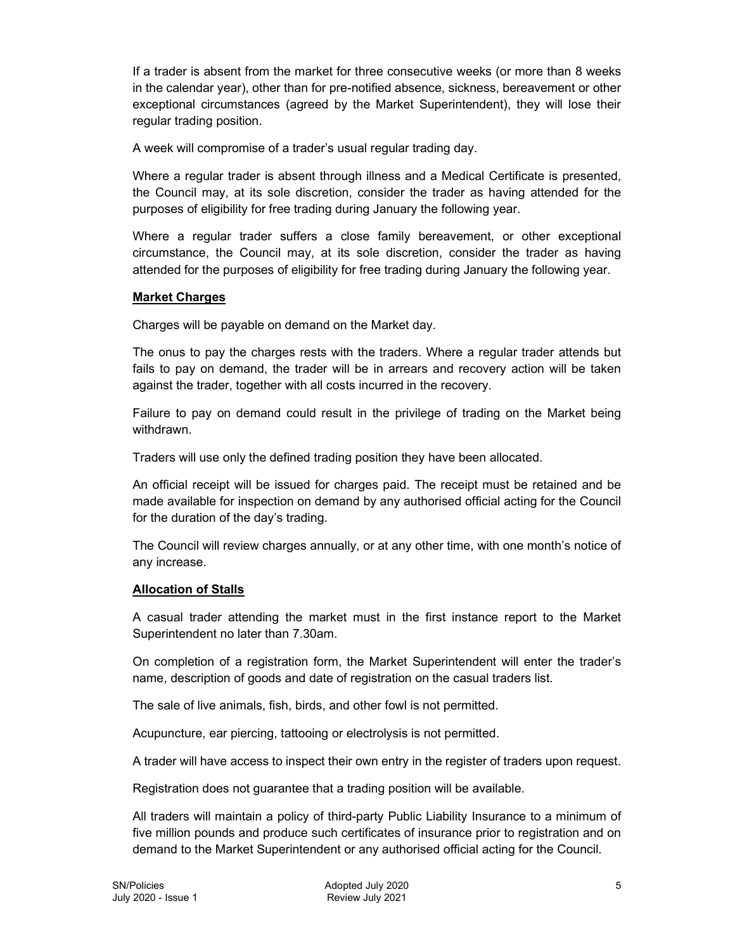If a trader is absent from the market for three consecutive weeks (or more than 8 weeks in the calendar year), other than for pre-notified absence, sickness, bereavement or other exceptional circumstances (agreed by the Market Superintendent), they will lose their regular trading position.

A week will compromise of a trader's usual regular trading day.

Where a regular trader is absent through illness and a Medical Certificate is presented, the Council may, at its sole discretion, consider the trader as having attended for the purposes of eligibility for free trading during January the following year.

Where a regular trader suffers a close family bereavement, or other exceptional circumstance, the Council may, at its sole discretion, consider the trader as having attended for the purposes of eligibility for free trading during January the following year.

## Market Charges

Charges will be payable on demand on the Market day.

The onus to pay the charges rests with the traders. Where a regular trader attends but fails to pay on demand, the trader will be in arrears and recovery action will be taken against the trader, together with all costs incurred in the recovery.

Failure to pay on demand could result in the privilege of trading on the Market being withdrawn.

Traders will use only the defined trading position they have been allocated.

An official receipt will be issued for charges paid. The receipt must be retained and be made available for inspection on demand by any authorised official acting for the Council for the duration of the day's trading.

The Council will review charges annually, or at any other time, with one month's notice of any increase.

## Allocation of Stalls

A casual trader attending the market must in the first instance report to the Market Superintendent no later than 7.30am.

On completion of a registration form, the Market Superintendent will enter the trader's name, description of goods and date of registration on the casual traders list.

The sale of live animals, fish, birds, and other fowl is not permitted.

Acupuncture, ear piercing, tattooing or electrolysis is not permitted.

A trader will have access to inspect their own entry in the register of traders upon request.

Registration does not guarantee that a trading position will be available.

All traders will maintain a policy of third-party Public Liability Insurance to a minimum of five million pounds and produce such certificates of insurance prior to registration and on demand to the Market Superintendent or any authorised official acting for the Council.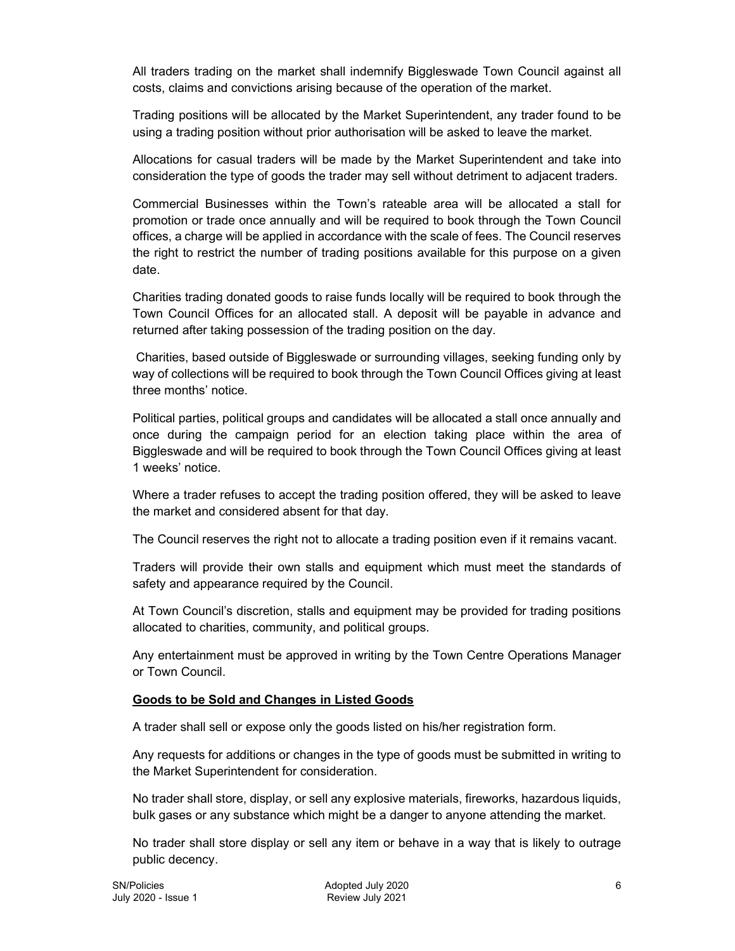All traders trading on the market shall indemnify Biggleswade Town Council against all costs, claims and convictions arising because of the operation of the market.

Trading positions will be allocated by the Market Superintendent, any trader found to be using a trading position without prior authorisation will be asked to leave the market.

Allocations for casual traders will be made by the Market Superintendent and take into consideration the type of goods the trader may sell without detriment to adjacent traders.

Commercial Businesses within the Town's rateable area will be allocated a stall for promotion or trade once annually and will be required to book through the Town Council offices, a charge will be applied in accordance with the scale of fees. The Council reserves the right to restrict the number of trading positions available for this purpose on a given date.

Charities trading donated goods to raise funds locally will be required to book through the Town Council Offices for an allocated stall. A deposit will be payable in advance and returned after taking possession of the trading position on the day.

 Charities, based outside of Biggleswade or surrounding villages, seeking funding only by way of collections will be required to book through the Town Council Offices giving at least three months' notice.

Political parties, political groups and candidates will be allocated a stall once annually and once during the campaign period for an election taking place within the area of Biggleswade and will be required to book through the Town Council Offices giving at least 1 weeks' notice.

Where a trader refuses to accept the trading position offered, they will be asked to leave the market and considered absent for that day.

The Council reserves the right not to allocate a trading position even if it remains vacant.

Traders will provide their own stalls and equipment which must meet the standards of safety and appearance required by the Council.

At Town Council's discretion, stalls and equipment may be provided for trading positions allocated to charities, community, and political groups.

Any entertainment must be approved in writing by the Town Centre Operations Manager or Town Council.

#### Goods to be Sold and Changes in Listed Goods

A trader shall sell or expose only the goods listed on his/her registration form.

Any requests for additions or changes in the type of goods must be submitted in writing to the Market Superintendent for consideration.

No trader shall store, display, or sell any explosive materials, fireworks, hazardous liquids, bulk gases or any substance which might be a danger to anyone attending the market.

No trader shall store display or sell any item or behave in a way that is likely to outrage public decency.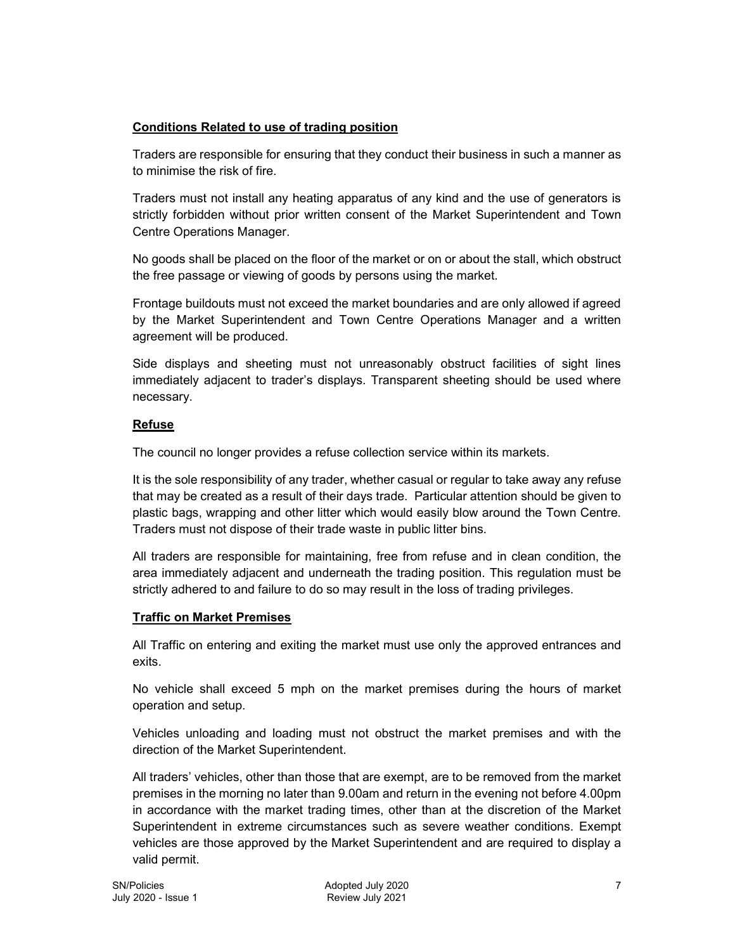## Conditions Related to use of trading position

Traders are responsible for ensuring that they conduct their business in such a manner as to minimise the risk of fire.

Traders must not install any heating apparatus of any kind and the use of generators is strictly forbidden without prior written consent of the Market Superintendent and Town Centre Operations Manager.

No goods shall be placed on the floor of the market or on or about the stall, which obstruct the free passage or viewing of goods by persons using the market.

Frontage buildouts must not exceed the market boundaries and are only allowed if agreed by the Market Superintendent and Town Centre Operations Manager and a written agreement will be produced.

Side displays and sheeting must not unreasonably obstruct facilities of sight lines immediately adjacent to trader's displays. Transparent sheeting should be used where necessary.

## Refuse

The council no longer provides a refuse collection service within its markets.

It is the sole responsibility of any trader, whether casual or regular to take away any refuse that may be created as a result of their days trade. Particular attention should be given to plastic bags, wrapping and other litter which would easily blow around the Town Centre. Traders must not dispose of their trade waste in public litter bins.

All traders are responsible for maintaining, free from refuse and in clean condition, the area immediately adjacent and underneath the trading position. This regulation must be strictly adhered to and failure to do so may result in the loss of trading privileges.

## Traffic on Market Premises

All Traffic on entering and exiting the market must use only the approved entrances and exits.

No vehicle shall exceed 5 mph on the market premises during the hours of market operation and setup.

Vehicles unloading and loading must not obstruct the market premises and with the direction of the Market Superintendent.

All traders' vehicles, other than those that are exempt, are to be removed from the market premises in the morning no later than 9.00am and return in the evening not before 4.00pm in accordance with the market trading times, other than at the discretion of the Market Superintendent in extreme circumstances such as severe weather conditions. Exempt vehicles are those approved by the Market Superintendent and are required to display a valid permit.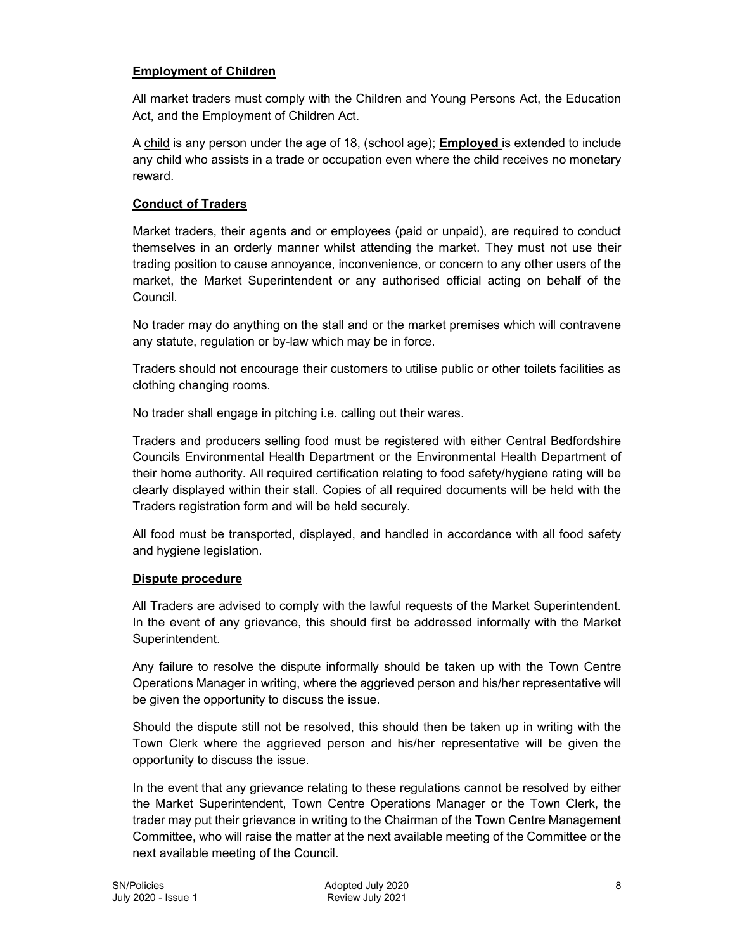## Employment of Children

All market traders must comply with the Children and Young Persons Act, the Education Act, and the Employment of Children Act.

A child is any person under the age of 18, (school age); **Employed** is extended to include any child who assists in a trade or occupation even where the child receives no monetary reward.

## Conduct of Traders

Market traders, their agents and or employees (paid or unpaid), are required to conduct themselves in an orderly manner whilst attending the market. They must not use their trading position to cause annoyance, inconvenience, or concern to any other users of the market, the Market Superintendent or any authorised official acting on behalf of the Council.

No trader may do anything on the stall and or the market premises which will contravene any statute, regulation or by-law which may be in force.

Traders should not encourage their customers to utilise public or other toilets facilities as clothing changing rooms.

No trader shall engage in pitching i.e. calling out their wares.

Traders and producers selling food must be registered with either Central Bedfordshire Councils Environmental Health Department or the Environmental Health Department of their home authority. All required certification relating to food safety/hygiene rating will be clearly displayed within their stall. Copies of all required documents will be held with the Traders registration form and will be held securely.

All food must be transported, displayed, and handled in accordance with all food safety and hygiene legislation.

## Dispute procedure

All Traders are advised to comply with the lawful requests of the Market Superintendent. In the event of any grievance, this should first be addressed informally with the Market Superintendent.

Any failure to resolve the dispute informally should be taken up with the Town Centre Operations Manager in writing, where the aggrieved person and his/her representative will be given the opportunity to discuss the issue.

Should the dispute still not be resolved, this should then be taken up in writing with the Town Clerk where the aggrieved person and his/her representative will be given the opportunity to discuss the issue.

In the event that any grievance relating to these regulations cannot be resolved by either the Market Superintendent, Town Centre Operations Manager or the Town Clerk, the trader may put their grievance in writing to the Chairman of the Town Centre Management Committee, who will raise the matter at the next available meeting of the Committee or the next available meeting of the Council.